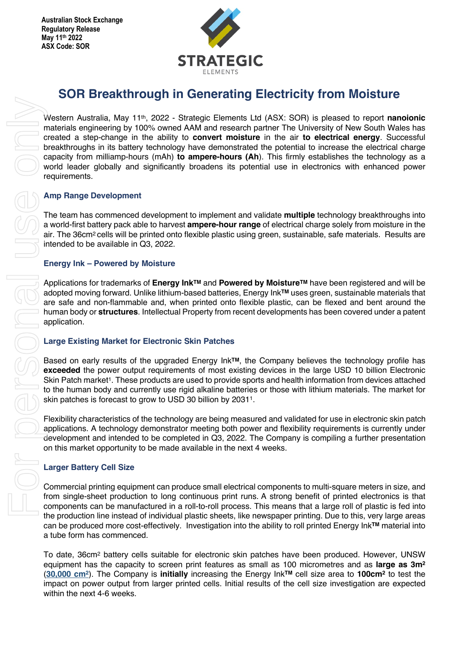

# **SOR Breakthrough in Generating Electricity from Moisture**

Western Australia, May 11<sup>th</sup>, 2022 - Strategic Elements Ltd (ASX: SOR) is pleased to report **nanoionic** materials engineering by 100% owned AAM and research partner The University of New South Wales has created a step-change in the ability to **convert moisture** in the air **to electrical energy**. Successful breakthroughs in its battery technology have demonstrated the potential to increase the electrical charge capacity from milliamp-hours (mAh) **to ampere-hours (Ah**). This firmly establishes the technology as a world leader globally and significantly broadens its potential use in electronics with enhanced power requirements.

## **Amp Range Development**

The team has commenced development to implement and validate **multiple** technology breakthroughs into a world-first battery pack able to harvest **ampere-hour range** of electrical charge solely from moisture in the air. The 36cm<sup>2</sup> cells will be printed onto flexible plastic using green, sustainable, safe materials. Results are intended to be available in Q3, 2022.

### **Energy Ink – Powered by Moisture**

Applications for trademarks of **Energy InkTM** and **Powered by MoistureTM** have been registered and will be adopted moving forward. Unlike lithium-based batteries, Energy Ink**TM** uses green, sustainable materials that are safe and non-flammable and, when printed onto flexible plastic, can be flexed and bent around the human body or **structures**. Intellectual Property from recent developments has been covered under a patent application.

# **Large Existing Market for Electronic Skin Patches**

Based on early results of the upgraded Energy Ink**TM**, the Company believes the technology profile has **exceeded** the power output requirements of most existing devices in the large USD 10 billion Electronic Skin Patch market<sup>1</sup>. These products are used to provide sports and health information from devices attached to the human body and currently use rigid alkaline batteries or those with lithium materials. The market for skin patches is forecast to grow to USD 30 billion by 20311.

Flexibility characteristics of the technology are being measured and validated for use in electronic skin patch applications. A technology demonstrator meeting both power and flexibility requirements is currently under development and intended to be completed in Q3, 2022. The Company is compiling a further presentation on this market opportunity to be made available in the next 4 weeks.

# **Larger Battery Cell Size**

Commercial printing equipment can produce small electrical components to multi-square meters in size, and from single-sheet production to long continuous print runs. A strong benefit of printed electronics is that components can be manufactured in a roll-to-roll process. This means that a large roll of plastic is fed into the production line instead of individual plastic sheets, like newspaper printing. Due to this, very large areas can be produced more cost-effectively. Investigation into the ability to roll printed Energy Ink**TM** material into a tube form has commenced.

To date, 36cm2 battery cells suitable for electronic skin patches have been produced. However, UNSW equipment has the capacity to screen print features as small as 100 micrometres and as **large as 3m2** (**30,000 cm2**). The Company is **initially** increasing the Energy Ink**TM** cell size area to **100cm2** to test the impact on power output from larger printed cells. Initial results of the cell size investigation are expected within the next 4-6 weeks.